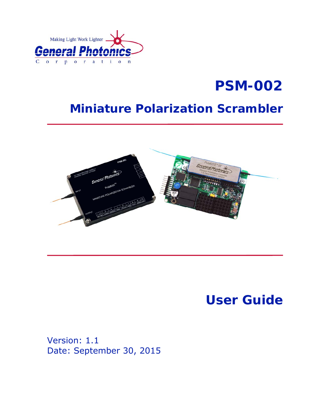

# **PSM-002**

# **Miniature Polarization Scrambler**



**User Guide** 

Version: 1.1 Date: September 30, 2015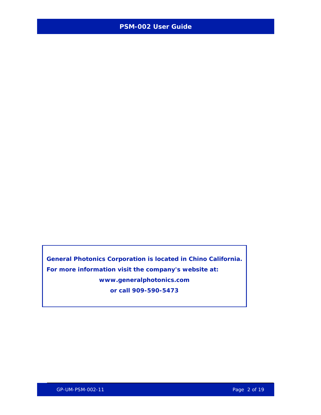**General Photonics Corporation is located in Chino California. For more information visit the company's website at: www.generalphotonics.com or call 909-590-5473**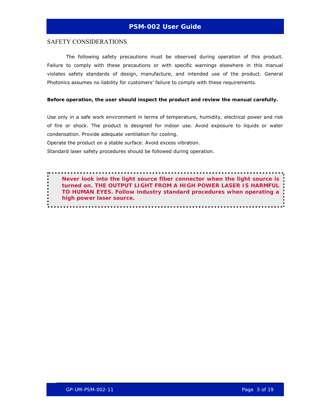#### SAFETY CONSIDERATIONS

The following safety precautions must be observed during operation of this product. Failure to comply with these precautions or with specific warnings elsewhere in this manual violates safety standards of design, manufacture, and intended use of the product. General Photonics assumes no liability for customers' failure to comply with these requirements.

#### **Before operation, the user should inspect the product and review the manual carefully.**

Use only in a safe work environment in terms of temperature, humidity, electrical power and risk of fire or shock. The product is designed for indoor use. Avoid exposure to liquids or water condensation. Provide adequate ventilation for cooling.

Operate the product on a stable surface. Avoid excess vibration.

Standard laser safety procedures should be followed during operation.

*Never look into the light source fiber connector when the light source is turned on. THE OUTPUT LIGHT FROM A HIGH POWER LASER IS HARMFUL TO HUMAN EYES. Follow industry standard procedures when operating a high power laser source.*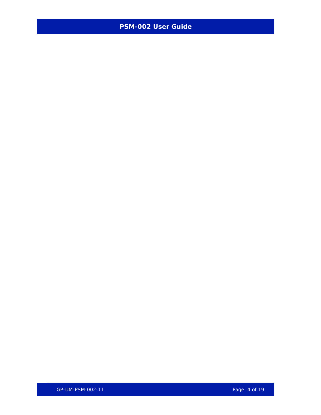*GP-UM-PSM-002-11 Page 4 of 19*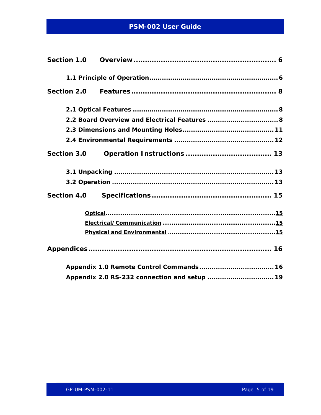| Section 1.0 |                                              |  |
|-------------|----------------------------------------------|--|
|             |                                              |  |
| Section 2.0 |                                              |  |
|             |                                              |  |
|             |                                              |  |
|             |                                              |  |
|             |                                              |  |
| Section 3.0 |                                              |  |
|             |                                              |  |
|             |                                              |  |
| Section 4.0 |                                              |  |
|             |                                              |  |
|             |                                              |  |
|             |                                              |  |
|             |                                              |  |
|             |                                              |  |
|             | Appendix 2.0 RS-232 connection and setup  19 |  |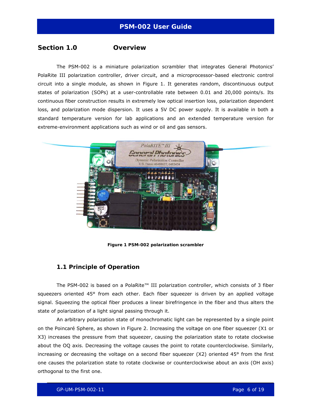#### <span id="page-5-0"></span>**Section 1.0 Overview**

The PSM-002 is a miniature polarization scrambler that integrates General Photonics' PolaRite III polarization controller, driver circuit, and a microprocessor-based electronic control circuit into a single module, as shown in [Figure 1.](#page-5-1) It generates random, discontinuous output states of polarization (SOPs) at a user-controllable rate between 0.01 and 20,000 points/s. Its continuous fiber construction results in extremely low optical insertion loss, polarization dependent loss, and polarization mode dispersion. It uses a 5V DC power supply. It is available in both a standard temperature version for lab applications and an extended temperature version for extreme-environment applications such as wind or oil and gas sensors.



**Figure 1 PSM-002 polarization scrambler** 

#### **1.1 Principle of Operation**

<span id="page-5-1"></span>The PSM-002 is based on a PolaRite™ III polarization controller, which consists of 3 fiber squeezers oriented 45° from each other. Each fiber squeezer is driven by an applied voltage signal. Squeezing the optical fiber produces a linear birefringence in the fiber and thus alters the state of polarization of a light signal passing through it.

An arbitrary polarization state of monochromatic light can be represented by a single point on the Poincaré Sphere, as shown in [Figure 2](#page-6-0). Increasing the voltage on one fiber squeezer (X1 or X3) increases the pressure from that squeezer, causing the polarization state to rotate clockwise about the OQ axis. Decreasing the voltage causes the point to rotate counterclockwise. Similarly, increasing or decreasing the voltage on a second fiber squeezer  $(X2)$  oriented 45° from the first one causes the polarization state to rotate clockwise or counterclockwise about an axis (OH axis) orthogonal to the first one.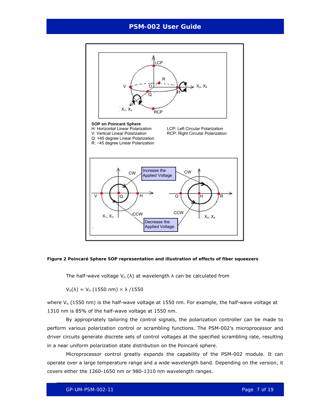

<span id="page-6-0"></span>

The half-wave voltage  $V_{\text{n}}(\lambda)$  at wavelength  $\lambda$  can be calculated from

 $V_n(\lambda) = V_n (1550 nm) \times \lambda / 1550$ 

where  $V_{\text{n}}$  (1550 nm) is the half-wave voltage at 1550 nm. For example, the half-wave voltage at 1310 nm is 85% of the half-wave voltage at 1550 nm.

By appropriately tailoring the control signals, the polarization controller can be made to perform various polarization control or scrambling functions. The PSM-002's microprocessor and driver circuits generate discrete sets of control voltages at the specified scrambling rate, resulting in a near uniform polarization state distribution on the Poincaré sphere.

Microprocessor control greatly expands the capability of the PSM-002 module. It can operate over a large temperature range and a wide wavelength band. Depending on the version, it covers either the 1260-1650 nm or 980-1310 nm wavelength ranges.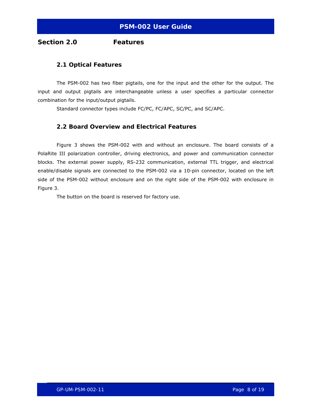<span id="page-7-0"></span>**Section 2.0 Features** 

#### **2.1 Optical Features**

The PSM-002 has two fiber pigtails, one for the input and the other for the output. The input and output pigtails are interchangeable unless a user specifies a particular connector combination for the input/output pigtails.

Standard connector types include FC/PC, FC/APC, SC/PC, and SC/APC.

### **2.2 Board Overview and Electrical Features**

[Figure 3](#page-8-0) shows the PSM-002 with and without an enclosure. The board consists of a PolaRite III polarization controller, driving electronics, and power and communication connector blocks. The external power supply, RS-232 communication, external TTL trigger, and electrical enable/disable signals are connected to the PSM-002 via a 10-pin connector, located on the left side of the PSM-002 without enclosure and on the right side of the PSM-002 with enclosure in [Figure 3](#page-8-0).

The button on the board is reserved for factory use.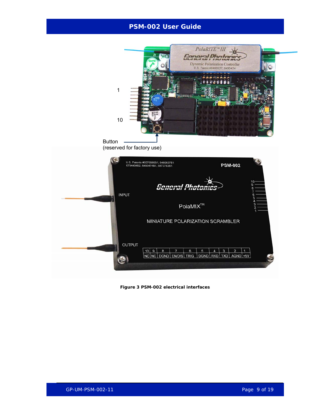

<span id="page-8-0"></span>**Figure 3 PSM-002 electrical interfaces**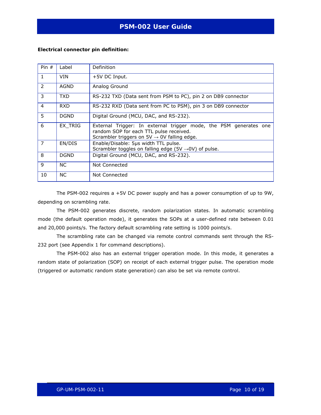#### **Electrical connector pin definition:**

| Pin $#$        | Label       | Definition                                                                                                                                                              |  |
|----------------|-------------|-------------------------------------------------------------------------------------------------------------------------------------------------------------------------|--|
| 1              | <b>VIN</b>  | +5V DC Input.                                                                                                                                                           |  |
| $\mathcal{P}$  | <b>AGND</b> | Analog Ground                                                                                                                                                           |  |
| 3              | <b>TXD</b>  | RS-232 TXD (Data sent from PSM to PC), pin 2 on DB9 connector                                                                                                           |  |
| 4              | <b>RXD</b>  | RS-232 RXD (Data sent from PC to PSM), pin 3 on DB9 connector                                                                                                           |  |
| 5              | <b>DGND</b> | Digital Ground (MCU, DAC, and RS-232).                                                                                                                                  |  |
| 6              | EX TRIG     | External Trigger: In external trigger mode, the PSM generates one<br>random SOP for each TTL pulse received.<br>Scrambler triggers on $5V \rightarrow 0V$ falling edge. |  |
| $\overline{7}$ | EN/DIS      | Enable/Disable: 5µs width TTL pulse.<br>Scrambler toggles on falling edge (5V $\rightarrow$ 0V) of pulse.                                                               |  |
| 8              | <b>DGND</b> | Digital Ground (MCU, DAC, and RS-232).                                                                                                                                  |  |
| 9              | <b>NC</b>   | Not Connected                                                                                                                                                           |  |
| 10             | <b>NC</b>   | Not Connected                                                                                                                                                           |  |

The PSM-002 requires a +5V DC power supply and has a power consumption of up to 9W, depending on scrambling rate.

The PSM-002 generates discrete, random polarization states. In automatic scrambling mode (the default operation mode), it generates the SOPs at a user-defined rate between 0.01 and 20,000 points/s. The factory default scrambling rate setting is 1000 points/s.

The scrambling rate can be changed via remote control commands sent through the RS-232 port (see Appendix 1 for command descriptions).

The PSM-002 also has an external trigger operation mode. In this mode, it generates a random state of polarization (SOP) on receipt of each external trigger pulse. The operation mode (triggered or automatic random state generation) can also be set via remote control.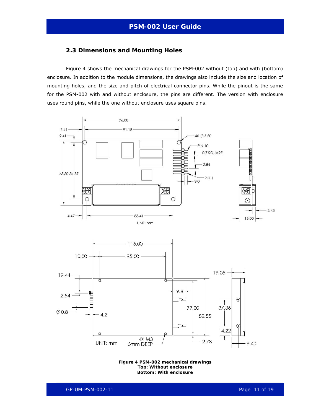#### **2.3 Dimensions and Mounting Holes**

<span id="page-10-0"></span>[Figure 4](#page-10-1) shows the mechanical drawings for the PSM-002 without (top) and with (bottom) enclosure. In addition to the module dimensions, the drawings also include the size and location of mounting holes, and the size and pitch of electrical connector pins. While the pinout is the same for the PSM-002 with and without enclosure, the pins are different. The version with enclosure uses round pins, while the one without enclosure uses square pins.



**Figure 4 PSM-002 mechanical drawings Top: Without enclosure Bottom: With enclosure** 

<span id="page-10-1"></span>*GP-UM-PSM-002-11 Page 11 of 19*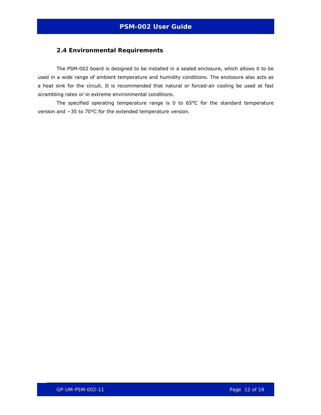#### <span id="page-11-0"></span>**2.4 Environmental Requirements**

The PSM-002 board is designed to be installed in a sealed enclosure, which allows it to be used in a wide range of ambient temperature and humidity conditions. The enclosure also acts as a heat sink for the circuit. It is recommended that natural or forced-air cooling be used at fast scrambling rates or in extreme environmental conditions.

The specified operating temperature range is 0 to 65°C for the standard temperature version and −35 to 70°C for the extended temperature version.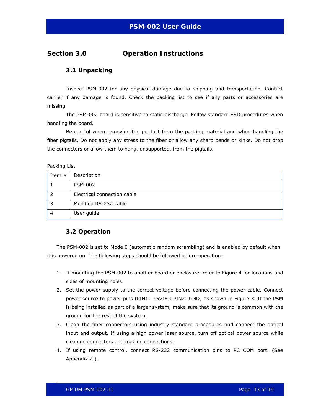# <span id="page-12-0"></span>**Section 3.0 Operation Instructions**

### **3.1 Unpacking**

Inspect PSM-002 for any physical damage due to shipping and transportation. Contact carrier if any damage is found. Check the packing list to see if any parts or accessories are missing.

The PSM-002 board is sensitive to static discharge. Follow standard ESD procedures when handling the board.

Be careful when removing the product from the packing material and when handling the fiber pigtails. Do not apply any stress to the fiber or allow any sharp bends or kinks. Do not drop the connectors or allow them to hang, unsupported, from the pigtails.

Packing List

| Item $#$ | Description                 |
|----------|-----------------------------|
|          | <b>PSM-002</b>              |
|          | Electrical connection cable |
| ς        | Modified RS-232 cable       |
| 4        | User guide                  |

#### **3.2 Operation**

The PSM-002 is set to Mode 0 (automatic random scrambling) and is enabled by default when it is powered on. The following steps should be followed before operation:

- 1. If mounting the PSM-002 to another board or enclosure, refer to [Figure 4](#page-10-1) for locations and sizes of mounting holes.
- 2. Set the power supply to the correct voltage before connecting the power cable. Connect power source to power pins (PIN1: +5VDC; PIN2: GND) as shown in [Figure 3.](#page-8-0) If the PSM is being installed as part of a larger system, make sure that its ground is common with the ground for the rest of the system.
- 3. Clean the fiber connectors using industry standard procedures and connect the optical input and output. If using a high power laser source, turn off optical power source while cleaning connectors and making connections.
- 4. If using remote control, connect RS-232 communication pins to PC COM port. (See Appendix 2.).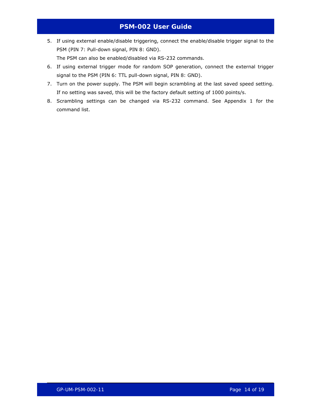5. If using external enable/disable triggering, connect the enable/disable trigger signal to the PSM (PIN 7: Pull-down signal, PIN 8: GND).

The PSM can also be enabled/disabled via RS-232 commands.

- 6. If using external trigger mode for random SOP generation, connect the external trigger signal to the PSM (PIN 6: TTL pull-down signal, PIN 8: GND).
- 7. Turn on the power supply. The PSM will begin scrambling at the last saved speed setting. If no setting was saved, this will be the factory default setting of 1000 points/s.
- 8. Scrambling settings can be changed via RS-232 command. See Appendix 1 for the command list.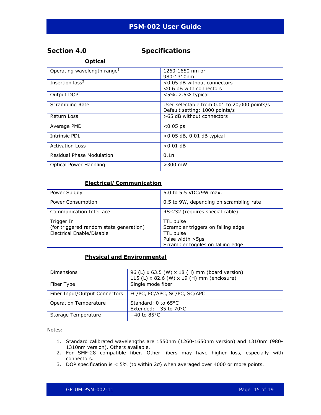# <span id="page-14-0"></span>**Section 4.0 Specifications**

| Optical                                 |                                                                                |
|-----------------------------------------|--------------------------------------------------------------------------------|
| Operating wavelength range <sup>1</sup> | 1260-1650 nm or<br>980-1310nm                                                  |
| Insertion loss <sup>2</sup>             | <0.05 dB without connectors<br>$<$ 0.6 dB with connectors                      |
| Output DOP <sup>3</sup>                 | $<$ 5%, 2.5% typical                                                           |
| Scrambling Rate                         | User selectable from 0.01 to 20,000 points/s<br>Default setting: 1000 points/s |
| Return Loss                             | >65 dB without connectors                                                      |
| Average PMD                             | $< 0.05$ ps                                                                    |
| <b>Intrinsic PDL</b>                    | $<$ 0.05 dB, 0.01 dB typical                                                   |
| <b>Activation Loss</b>                  | $< 0.01$ dB                                                                    |
| Residual Phase Modulation               | 0.1 <sub>π</sub>                                                               |
| Optical Power Handling                  | $>300$ mW                                                                      |

### **Electrical/Communication**

| Power Supply                            | 5.0 to 5.5 VDC/9W max.                  |
|-----------------------------------------|-----------------------------------------|
| Power Consumption                       | 0.5 to 9W, depending on scrambling rate |
| Communication Interface                 | RS-232 (requires special cable)         |
| Trigger In                              | TTL pulse                               |
| (for triggered random state generation) | Scrambler triggers on falling edge      |
| Electrical Enable/Disable               | TTL pulse                               |
|                                         | Pulse width > 5µs                       |
|                                         | Scrambler toggles on falling edge       |

#### **Physical and Environmental**

| Dimensions                    | 96 (L) x 63.5 (W) x 18 (H) mm (board version)<br>115 (L) x 82.6 (W) x 19 (H) mm (enclosure) |
|-------------------------------|---------------------------------------------------------------------------------------------|
| Fiber Type                    | Single mode fiber                                                                           |
| Fiber Input/Output Connectors | FC/PC, FC/APC, SC/PC, SC/APC                                                                |
| Operation Temperature         | Standard: $0$ to $65^{\circ}$ C<br>Extended: $-35$ to 70 °C                                 |
| Storage Temperature           | $-40$ to 85°C                                                                               |

Notes:

- 1. Standard calibrated wavelengths are 1550nm (1260-1650nm version) and 1310nm (980- 1310nm version). Others available.
- 2. For SMF-28 compatible fiber. Other fibers may have higher loss, especially with connectors.
- 3. DOP specification is < 5% (to within 2σ) when averaged over 4000 or more points.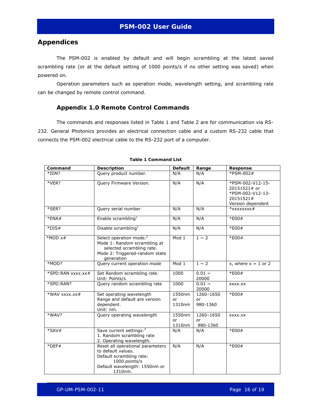# <span id="page-15-0"></span>**Appendices**

The PSM-002 is enabled by default and will begin scrambling at the latest saved scrambling rate (or at the default setting of 1000 points/s if no other setting was saved) when powered on.

Operation parameters such as operation mode, wavelength setting, and scrambling rate can be changed by remote control command.

#### **Appendix 1.0 Remote Control Commands**

The commands and responses listed in [Table 1](#page-15-1) and [Table 2](#page-16-0) are for communication via RS-232. General Photonics provides an electrical connection cable and a custom RS-232 cable that connects the PSM-002 electrical cable to the RS-232 port of a computer.

<span id="page-15-1"></span>

| Command           | <b>Description</b>                  | <b>Default</b> | Range       | Response              |
|-------------------|-------------------------------------|----------------|-------------|-----------------------|
| $*IDN?$           | Query product number.               | N/A            | N/A         | *PSM-002#             |
|                   |                                     |                |             |                       |
| *VER?             | Query Firmware Version.             | N/A            | N/A         | *PSM-002-V12-15-      |
|                   |                                     |                |             | 20151521# or          |
|                   |                                     |                |             | *PSM-002-V12-13-      |
|                   |                                     |                |             | 20151521#             |
|                   |                                     |                |             | Version dependent     |
| *SER?             | Query serial number                 | N/A            | N/A         | *xxxxxxxx#            |
| *ENA#             | Enable scrambling <sup>1</sup>      | N/A            | N/A         | *E00#                 |
|                   |                                     |                |             |                       |
| $*DIS#$           | Disable scrambling $1$              | N/A            | N/A         | $*E00#$               |
| *MOD x#           | Select operation mode. <sup>2</sup> | Mod 1          | $1 \sim 2$  | $*E00#$               |
|                   | Mode 1: Random scrambling at        |                |             |                       |
|                   | selected scrambling rate.           |                |             |                       |
|                   | Mode 2: Triggered-random state      |                |             |                       |
|                   | generation                          |                |             |                       |
| *MOD?             | Query current operation mode        | Mod 1          | $1 \sim 2$  | x, where $x = 1$ or 2 |
|                   |                                     |                |             |                       |
| *SPD:RAN xxxx.xx# | Set Random scrambling rate.         | 1000           | $0.01 \sim$ | *E00#                 |
|                   | Unit: Points/s                      |                | 20000       |                       |
| *SPD:RAN?         | Query random scrambling rate        | 1000           | $0.01 \sim$ | XXXX.XX               |
|                   |                                     |                | 20000       |                       |
| $*$ WAV xxxx.xx#  | Set operating wavelength            | 1550nm         | 1260-1650   | $*E00#$               |
|                   | Range and default are version       | or             | <b>or</b>   |                       |
|                   | dependent.<br>Unit: nm.             | 1310nm         | 980-1360    |                       |
| *WAV?             | Query operating wavelength          | 1550nm         | 1260-1650   | XXXX.XX               |
|                   |                                     | or             | <b>or</b>   |                       |
|                   |                                     | 1310nm         | 980-1360    |                       |
| *SAV#             | Save current settings: <sup>3</sup> | N/A            | N/A         | *E00#                 |
|                   | 1. Random scrambling rate           |                |             |                       |
|                   | 2. Operating wavelength.            |                |             |                       |
| $*$ DEF#          | Reset all operational parameters    | N/A            | N/A         | $*E00#$               |
|                   | to default values.                  |                |             |                       |
|                   | Default scrambling rate:            |                |             |                       |
|                   | 1000 points/s                       |                |             |                       |
|                   | Default wavelength: 1550nm or       |                |             |                       |
|                   | 1310nm.                             |                |             |                       |

#### **Table 1 Command List**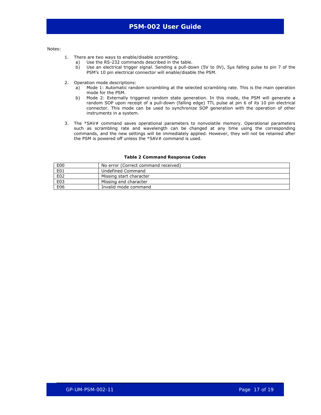Notes:

- 1. There are two ways to enable/disable scrambling.
	- a) Use the RS-232 commands described in the table.
	- b) Use an electrical trigger signal. Sending a pull-down (5V to 0V), 5µs falling pulse to pin 7 of the PSM's 10 pin electrical connector will enable/disable the PSM.
- 2. Operation mode descriptions:
	- a) Mode 1: Automatic random scrambling at the selected scrambling rate. This is the main operation mode for the PSM.
	- b) Mode 2: Externally triggered random state generation. In this mode, the PSM will generate a random SOP upon receipt of a pull-down (falling edge) TTL pulse at pin 6 of its 10 pin electrical connector. This mode can be used to synchronize SOP generation with the operation of other instruments in a system.
- 3. The  $*SAV#$  command saves operational parameters to nonvolatile memory. Operational parameters such as scrambling rate and wavelength can be changed at any time using the corresponding commands, and the new settings will be immediately applied. However, they will not be retained after the PSM is powered off unless the \*SAV# command is used.

<span id="page-16-0"></span>

| E <sub>0</sub> | No error (Correct command received) |
|----------------|-------------------------------------|
| E01            | Undefined Command                   |
| E02            | Missing start character             |
| E03            | Missing end character               |
| E06            | Invalid mode command                |

#### **Table 2 Command Response Codes**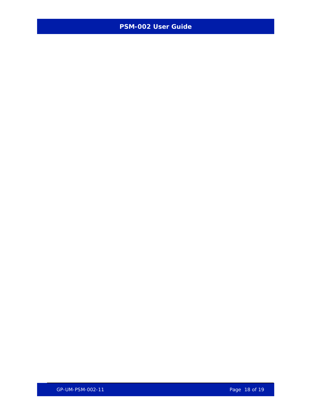*GP-UM-PSM-002-11 Page 18 of 19*